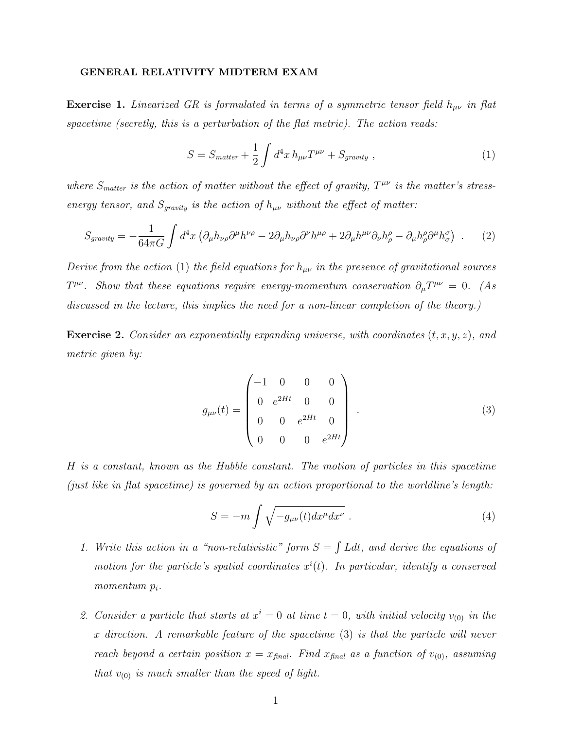## GENERAL RELATIVITY MIDTERM EXAM

**Exercise 1.** Linearized GR is formulated in terms of a symmetric tensor field  $h_{\mu\nu}$  in flat spacetime (secretly, this is a perturbation of the flat metric). The action reads:

$$
S = S_{matter} + \frac{1}{2} \int d^4x \, h_{\mu\nu} T^{\mu\nu} + S_{gravity} \,, \tag{1}
$$

where  $S<sub>matter</sub>$  is the action of matter without the effect of gravity,  $T^{\mu\nu}$  is the matter's stressenergy tensor, and  $S_{gravity}$  is the action of  $h_{\mu\nu}$  without the effect of matter:

$$
S_{gravity} = -\frac{1}{64\pi G} \int d^4x \left( \partial_{\mu} h_{\nu\rho} \partial^{\mu} h^{\nu\rho} - 2 \partial_{\mu} h_{\nu\rho} \partial^{\nu} h^{\mu\rho} + 2 \partial_{\mu} h^{\mu\nu} \partial_{\nu} h^{\rho}_{\rho} - \partial_{\mu} h^{\rho}_{\rho} \partial^{\mu} h^{\sigma}_{\sigma} \right) . \tag{2}
$$

Derive from the action (1) the field equations for  $h_{\mu\nu}$  in the presence of gravitational sources  $T^{\mu\nu}$ . Show that these equations require energy-momentum conservation  $\partial_{\mu}T^{\mu\nu} = 0$ . (As discussed in the lecture, this implies the need for a non-linear completion of the theory.)

**Exercise 2.** Consider an exponentially expanding universe, with coordinates  $(t, x, y, z)$ , and metric given by:

$$
g_{\mu\nu}(t) = \begin{pmatrix} -1 & 0 & 0 & 0 \\ 0 & e^{2Ht} & 0 & 0 \\ 0 & 0 & e^{2Ht} & 0 \\ 0 & 0 & 0 & e^{2Ht} \end{pmatrix} .
$$
 (3)

H is a constant, known as the Hubble constant. The motion of particles in this spacetime (just like in flat spacetime) is governed by an action proportional to the worldline's length:

$$
S = -m \int \sqrt{-g_{\mu\nu}(t)dx^{\mu}dx^{\nu}} . \tag{4}
$$

- 1. Write this action in a "non-relativistic" form  $S = \int L dt$ , and derive the equations of motion for the particle's spatial coordinates  $x^{i}(t)$ . In particular, identify a conserved momentum  $p_i$ .
- 2. Consider a particle that starts at  $x^i = 0$  at time  $t = 0$ , with initial velocity  $v_{(0)}$  in the x direction. A remarkable feature of the spacetime (3) is that the particle will never reach beyond a certain position  $x = x_{final}$ . Find  $x_{final}$  as a function of  $v_{(0)}$ , assuming that  $v_{(0)}$  is much smaller than the speed of light.